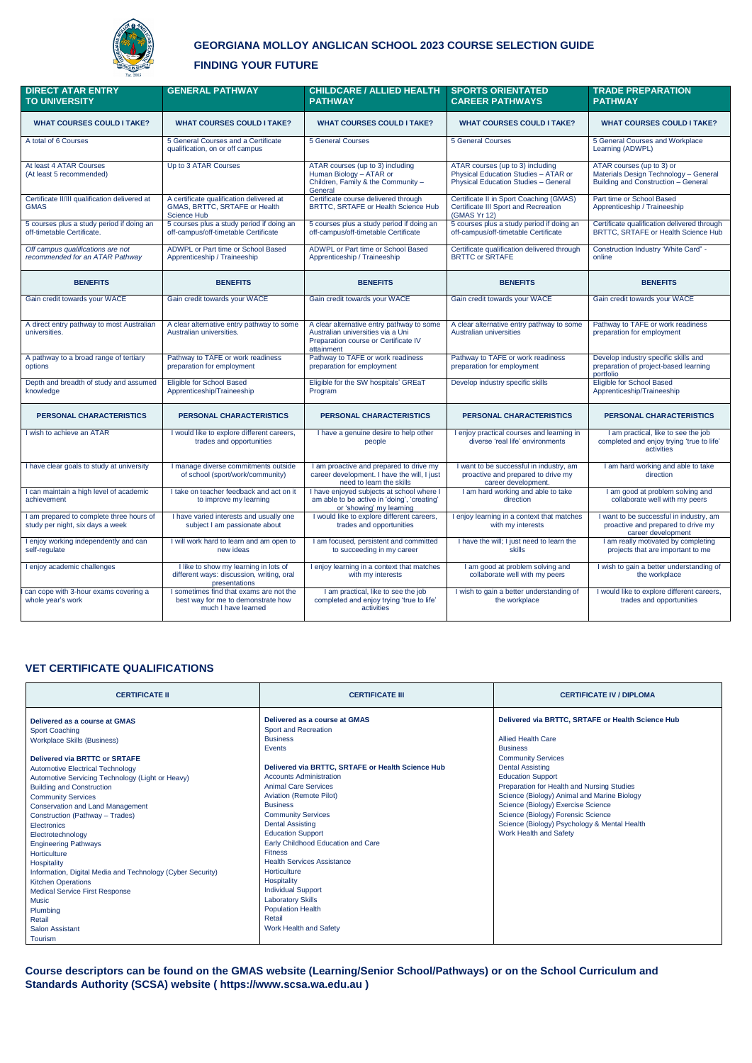

# **GEORGIANA MOLLOY ANGLICAN SCHOOL 2023 COURSE SELECTION GUIDE**

## **FINDING YOUR FUTURE**

# **VET CERTIFICATE QUALIFICATIONS**

| <b>CERTIFICATE II</b>                                      | <b>CERTIFICATE III</b>                            | <b>CERTIFICATE IV / DIPLOMA</b>                   |  |
|------------------------------------------------------------|---------------------------------------------------|---------------------------------------------------|--|
| Delivered as a course at GMAS                              | Delivered as a course at GMAS                     | Delivered via BRTTC, SRTAFE or Health Science Hub |  |
| <b>Sport Coaching</b>                                      | Sport and Recreation                              |                                                   |  |
| <b>Workplace Skills (Business)</b>                         | <b>Business</b>                                   | <b>Allied Health Care</b>                         |  |
|                                                            | Events                                            | <b>Business</b>                                   |  |
| <b>Delivered via BRTTC or SRTAFE</b>                       |                                                   | <b>Community Services</b>                         |  |
| <b>Automotive Electrical Technology</b>                    | Delivered via BRTTC, SRTAFE or Health Science Hub | <b>Dental Assisting</b>                           |  |
| Automotive Servicing Technology (Light or Heavy)           | <b>Accounts Administration</b>                    | <b>Education Support</b>                          |  |
| <b>Building and Construction</b>                           | <b>Animal Care Services</b>                       | Preparation for Health and Nursing Studies        |  |
| <b>Community Services</b>                                  | <b>Aviation (Remote Pilot)</b>                    | Science (Biology) Animal and Marine Biology       |  |
| <b>Conservation and Land Management</b>                    | <b>Business</b>                                   | Science (Biology) Exercise Science                |  |
| Construction (Pathway - Trades)                            | <b>Community Services</b>                         | Science (Biology) Forensic Science                |  |
| Electronics                                                | <b>Dental Assisting</b>                           | Science (Biology) Psychology & Mental Health      |  |
| Electrotechnology                                          | <b>Education Support</b>                          | Work Health and Safety                            |  |
| <b>Engineering Pathways</b>                                | Early Childhood Education and Care                |                                                   |  |
| Horticulture                                               | <b>Fitness</b>                                    |                                                   |  |
| Hospitality                                                | <b>Health Services Assistance</b>                 |                                                   |  |
| Information, Digital Media and Technology (Cyber Security) | Horticulture                                      |                                                   |  |
| <b>Kitchen Operations</b>                                  | Hospitality                                       |                                                   |  |
| <b>Medical Service First Response</b>                      | <b>Individual Support</b>                         |                                                   |  |
| <b>Music</b>                                               | <b>Laboratory Skills</b>                          |                                                   |  |
| Plumbing                                                   | <b>Population Health</b>                          |                                                   |  |
| Retail                                                     | Retail                                            |                                                   |  |
| <b>Salon Assistant</b>                                     | Work Health and Safety                            |                                                   |  |
| <b>Tourism</b>                                             |                                                   |                                                   |  |

**Course descriptors can be found on the GMAS website (Learning/Senior School/Pathways) or on the School Curriculum and Standards Authority (SCSA) website ( https://www.scsa.wa.edu.au )**

| <b>DIRECT ATAR ENTRY</b><br><b>TO UNIVERSITY</b>                             | <b>GENERAL PATHWAY</b>                                                                              | <b>CHILDCARE / ALLIED HEALTH</b><br><b>PATHWAY</b>                                                                                   | <b>SPORTS ORIENTATED</b><br><b>CAREER PATHWAYS</b>                                                               | <b>TRADE PREPARATION</b><br><b>PATHWAY</b>                                                                |
|------------------------------------------------------------------------------|-----------------------------------------------------------------------------------------------------|--------------------------------------------------------------------------------------------------------------------------------------|------------------------------------------------------------------------------------------------------------------|-----------------------------------------------------------------------------------------------------------|
| <b>WHAT COURSES COULD I TAKE?</b>                                            | <b>WHAT COURSES COULD I TAKE?</b>                                                                   | <b>WHAT COURSES COULD I TAKE?</b>                                                                                                    | <b>WHAT COURSES COULD I TAKE?</b>                                                                                | <b>WHAT COURSES COULD I TAKE?</b>                                                                         |
| A total of 6 Courses                                                         | 5 General Courses and a Certificate<br>qualification, on or off campus                              | <b>5 General Courses</b>                                                                                                             | <b>5 General Courses</b>                                                                                         | 5 General Courses and Workplace<br>Learning (ADWPL)                                                       |
| At least 4 ATAR Courses<br>(At least 5 recommended)                          | Up to 3 ATAR Courses                                                                                | ATAR courses (up to 3) including<br>Human Biology - ATAR or<br>Children, Family & the Community -<br>General                         | ATAR courses (up to 3) including<br>Physical Education Studies - ATAR or<br>Physical Education Studies - General | ATAR courses (up to 3) or<br>Materials Design Technology - General<br>Building and Construction - General |
| Certificate II/III qualification delivered at<br><b>GMAS</b>                 | A certificate qualification delivered at<br>GMAS, BRTTC, SRTAFE or Health<br><b>Science Hub</b>     | Certificate course delivered through<br>BRTTC, SRTAFE or Health Science Hub                                                          | Certificate II in Sport Coaching (GMAS)<br>Certificate III Sport and Recreation<br>(GMAS Yr 12)                  | Part time or School Based<br>Apprenticeship / Traineeship                                                 |
| 5 courses plus a study period if doing an<br>off-timetable Certificate.      | 5 courses plus a study period if doing an<br>off-campus/off-timetable Certificate                   | 5 courses plus a study period if doing an<br>off-campus/off-timetable Certificate                                                    | 5 courses plus a study period if doing an<br>off-campus/off-timetable Certificate                                | Certificate qualification delivered through<br>BRTTC, SRTAFE or Health Science Hub                        |
| Off campus qualifications are not<br>recommended for an ATAR Pathway         | ADWPL or Part time or School Based<br>Apprenticeship / Traineeship                                  | ADWPL or Part time or School Based<br>Apprenticeship / Traineeship                                                                   | Certificate qualification delivered through<br><b>BRTTC or SRTAFE</b>                                            | Construction Industry 'White Card" -<br>online                                                            |
| <b>BENEFITS</b>                                                              | <b>BENEFITS</b>                                                                                     | <b>BENEFITS</b>                                                                                                                      | <b>BENEFITS</b>                                                                                                  | <b>BENEFITS</b>                                                                                           |
| Gain credit towards your WACE                                                | Gain credit towards your WACE                                                                       | Gain credit towards your WACE                                                                                                        | Gain credit towards your WACE                                                                                    | Gain credit towards your WACE                                                                             |
| A direct entry pathway to most Australian<br>universities.                   | A clear alternative entry pathway to some<br>Australian universities.                               | A clear alternative entry pathway to some<br>Australian universities via a Uni<br>Preparation course or Certificate IV<br>attainment | A clear alternative entry pathway to some<br>Australian universities                                             | Pathway to TAFE or work readiness<br>preparation for employment                                           |
| A pathway to a broad range of tertiary<br>options                            | Pathway to TAFE or work readiness<br>preparation for employment                                     | Pathway to TAFE or work readiness<br>preparation for employment                                                                      | Pathway to TAFE or work readiness<br>preparation for employment                                                  | Develop industry specific skills and<br>preparation of project-based learning<br>portfolio                |
| Depth and breadth of study and assumed<br>knowledge                          | Eligible for School Based<br>Apprenticeship/Traineeship                                             | Eligible for the SW hospitals' GREaT<br>Program                                                                                      | Develop industry specific skills                                                                                 | Eligible for School Based<br>Apprenticeship/Traineeship                                                   |
| <b>PERSONAL CHARACTERISTICS</b>                                              | <b>PERSONAL CHARACTERISTICS</b>                                                                     | <b>PERSONAL CHARACTERISTICS</b>                                                                                                      | <b>PERSONAL CHARACTERISTICS</b>                                                                                  | PERSONAL CHARACTERISTICS                                                                                  |
| I wish to achieve an ATAR                                                    | I would like to explore different careers,<br>trades and opportunities                              | I have a genuine desire to help other<br>people                                                                                      | I enjoy practical courses and learning in<br>diverse 'real life' environments                                    | I am practical, like to see the job<br>completed and enjoy trying 'true to life'<br>activities            |
| I have clear goals to study at university                                    | I manage diverse commitments outside<br>of school (sport/work/community)                            | I am proactive and prepared to drive my<br>career development. I have the will, I just<br>need to learn the skills                   | I want to be successful in industry, am<br>proactive and prepared to drive my<br>career development.             | I am hard working and able to take<br>direction                                                           |
| I can maintain a high level of academic<br>achievement                       | I take on teacher feedback and act on it<br>to improve my learning                                  | I have enjoyed subjects at school where I<br>am able to be active in 'doing', 'creating'<br>or 'showing' my learning                 | I am hard working and able to take<br>direction                                                                  | I am good at problem solving and<br>collaborate well with my peers                                        |
| I am prepared to complete three hours of<br>study per night, six days a week | I have varied interests and usually one<br>subject I am passionate about                            | I would like to explore different careers,<br>trades and opportunities                                                               | I enjoy learning in a context that matches<br>with my interests                                                  | I want to be successful in industry, am<br>proactive and prepared to drive my<br>career development       |
| I enjoy working independently and can<br>self-regulate                       | I will work hard to learn and am open to<br>new ideas                                               | I am focused, persistent and committed<br>to succeeding in my career                                                                 | I have the will; I just need to learn the<br>skills                                                              | I am really motivated by completing<br>projects that are important to me                                  |
| I enjoy academic challenges                                                  | I like to show my learning in lots of<br>different ways: discussion, writing, oral<br>presentations | I enjoy learning in a context that matches<br>with my interests                                                                      | I am good at problem solving and<br>collaborate well with my peers                                               | I wish to gain a better understanding of<br>the workplace                                                 |
| can cope with 3-hour exams covering a<br>whole year's work                   | sometimes find that exams are not the<br>best way for me to demonstrate how<br>much I have learned  | I am practical, like to see the job<br>completed and enjoy trying 'true to life'<br>activities                                       | I wish to gain a better understanding of<br>the workplace                                                        | I would like to explore different careers,<br>trades and opportunities                                    |